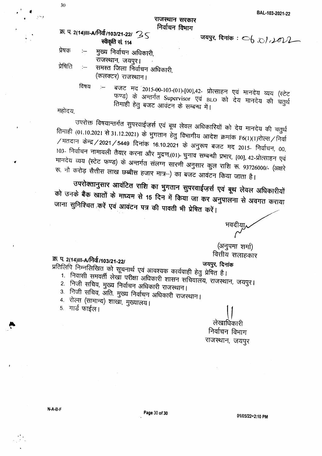## राजस्थान सरकार निर्वाचन विभाग

## क्र. प. 2(14)III-A/निर्वा/103/21-22/ 25 स्वीकृति सं 114

- जयपुर, दिनांक:  $\bigcirc$ <sub>0</sub>,  $\bigcirc$ */ ,*  $\mathcal{W}$
- प्रेषक :-- मुख्य निर्वाचन अधिकारी, राजस्थान, जयपुर।
- प्रेषिति :-- समस्त जिला निर्वाचन अधिकारी, (कलक्टर) राजस्थान।
	- विषय :– बजट मद 2015-00-103-(01)-[00],42- प्रोत्साहन एवं मानदेय व्यय (स्टेट फण्ड) के अन्तर्गत Supervisor एवं BLO को देय मानदेय की चतुर्थ तिमाही हेतु बजट आवंटन के सम्बन्ध में।

महोदय

उपरोक्त विषयान्तर्गत सुपरवाईज़र्स एवं बूथ लेवल अधिकारियों को देय मानदेय की चतुर्थ तिमाही (01.10.2021 से 31.12.2021) के भुगतान हेतु विभागीय आदेश क्रमांक F6(1)(1)रोल्स / निर्वा  $/$ मतदान केन्द्र $/$ 2021 $/$ 5449 दिनांक 16.10.2021 के अनुरूप बजट मद 2015- निर्वाचन, 00, 103- निर्वाचन नामावली तैयार करना और मुद्रण,(01)- चुनाव सम्बन्धी प्रभार, [00], 42-प्रोत्साहन एवं मानदेय व्यय (स्टेट फण्ड) के अन्तर्गत संलग्न सारणी अनुसार कुल राशि रू. 93726000/- (अक्षरे रू. नौ करोड़ सैत्तीस लाख छब्बीस हजार मात्र-) का बजट आवंटन किया जाता है।

उपरोक्तानुसार आवंटित राशि का भुगतान सुपरवाईज़र्स एवं बूथ लेवल अधिकारीयों को उनके बैंक खातों के माध्यम से 15 दिन में किया जा कर अनुपालना से अवगत कराया जाना सुनिश्चित करें एवं आवंटन पत्र की पावती भी प्रेषित करें।

वित्तीय सलाहकार

(अनुपमा शर्मा)

if>. tr. *2(14)III-AJf.1cfl'/103/21\_221 ~. ~*

- ~f2IR;Jrq AJO"fR;Jftld em ~~ ~ 31lq~~Cfj Cfjl4qltfl -gg ~ ~ I 1. निवासी समवर्ती लेखा परीक्षा अधिकारी शासन सचिवालय, राजस्थान, जयपुर।
	- 2. निजी सचिव, मुख्य निर्वाचन अधिकारी राजस्थान।
	- 3. निजी सचिव, अंति. मुख्य निर्वाचन अधिकारी राजस्थान।
	- 4. रोल्स (सामान्य) शाखा, मुख्यालय।
	- 5. गार्ड फाईल।

लेखाधिकारी निर्वाचन विभाग राजस्थान, जयपुर

..

30

*.' It*

i--I